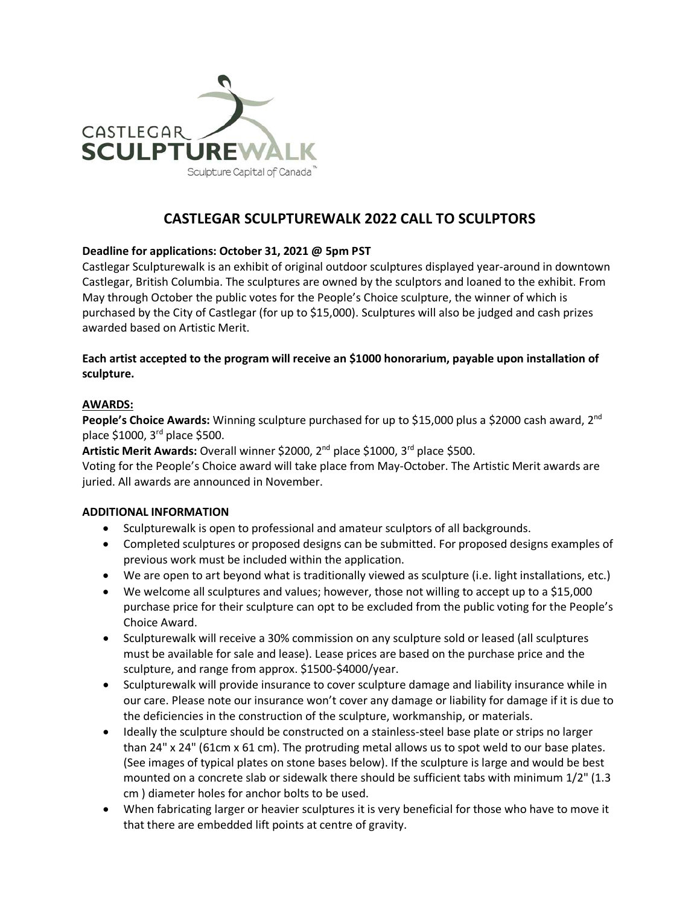

# **CASTLEGAR SCULPTUREWALK 2022 CALL TO SCULPTORS**

## **Deadline for applications: October 31, 2021 @ 5pm PST**

Castlegar Sculpturewalk is an exhibit of original outdoor sculptures displayed year-around in downtown Castlegar, British Columbia. The sculptures are owned by the sculptors and loaned to the exhibit. From May through October the public votes for the People's Choice sculpture, the winner of which is purchased by the City of Castlegar (for up to \$15,000). Sculptures will also be judged and cash prizes awarded based on Artistic Merit.

## **Each artist accepted to the program will receive an \$1000 honorarium, payable upon installation of sculpture.**

#### **AWARDS:**

People's Choice Awards: Winning sculpture purchased for up to \$15,000 plus a \$2000 cash award, 2<sup>nd</sup> place \$1000, 3rd place \$500.

**Artistic Merit Awards:** Overall winner \$2000, 2nd place \$1000, 3rd place \$500.

Voting for the People's Choice award will take place from May-October. The Artistic Merit awards are juried. All awards are announced in November.

### **ADDITIONAL INFORMATION**

- Sculpturewalk is open to professional and amateur sculptors of all backgrounds.
- Completed sculptures or proposed designs can be submitted. For proposed designs examples of previous work must be included within the application.
- We are open to art beyond what is traditionally viewed as sculpture (i.e. light installations, etc.)
- We welcome all sculptures and values; however, those not willing to accept up to a \$15,000 purchase price for their sculpture can opt to be excluded from the public voting for the People's Choice Award.
- Sculpturewalk will receive a 30% commission on any sculpture sold or leased (all sculptures must be available for sale and lease). Lease prices are based on the purchase price and the sculpture, and range from approx. \$1500-\$4000/year.
- Sculpturewalk will provide insurance to cover sculpture damage and liability insurance while in our care. Please note our insurance won't cover any damage or liability for damage if it is due to the deficiencies in the construction of the sculpture, workmanship, or materials.
- Ideally the sculpture should be constructed on a stainless-steel base plate or strips no larger than  $24''$  x  $24''$  (61cm x 61 cm). The protruding metal allows us to spot weld to our base plates. (See images of typical plates on stone bases below). If the sculpture is large and would be best mounted on a concrete slab or sidewalk there should be sufficient tabs with minimum 1/2" (1.3 cm ) diameter holes for anchor bolts to be used.
- When fabricating larger or heavier sculptures it is very beneficial for those who have to move it that there are embedded lift points at centre of gravity.